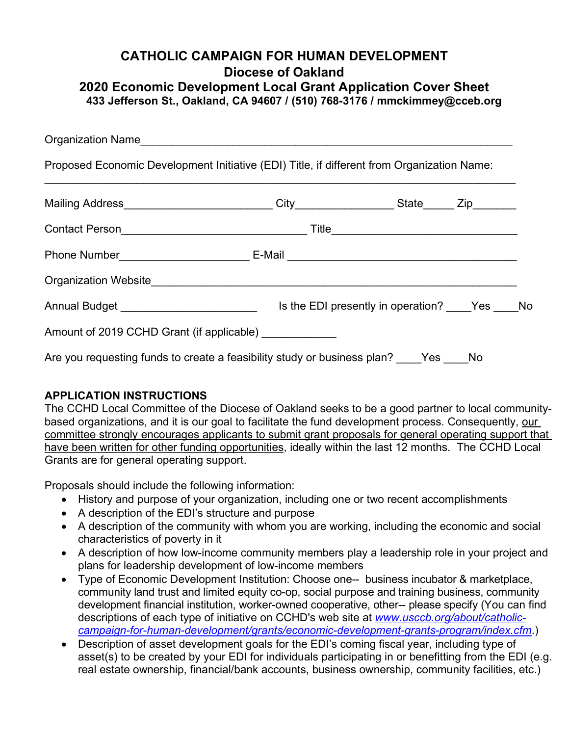## **CATHOLIC CAMPAIGN FOR HUMAN DEVELOPMENT Diocese of Oakland 2020 Economic Development Local Grant Application Cover Sheet 433 Jefferson St., Oakland, CA 94607 / (510) 768-3176 / [mmckimmey@cceb.org](mailto:mmckimmey@cceb.org)**

| Proposed Economic Development Initiative (EDI) Title, if different from Organization Name: |                                                                                         |  |  |  |
|--------------------------------------------------------------------------------------------|-----------------------------------------------------------------------------------------|--|--|--|
|                                                                                            |                                                                                         |  |  |  |
|                                                                                            |                                                                                         |  |  |  |
|                                                                                            |                                                                                         |  |  |  |
|                                                                                            |                                                                                         |  |  |  |
|                                                                                            |                                                                                         |  |  |  |
| Amount of 2019 CCHD Grant (if applicable) ____________                                     |                                                                                         |  |  |  |
|                                                                                            | Are you requesting funds to create a feasibility study or business plan? ____Yes ____No |  |  |  |

## **APPLICATION INSTRUCTIONS**

The CCHD Local Committee of the Diocese of Oakland seeks to be a good partner to local communitybased organizations, and it is our goal to facilitate the fund development process. Consequently, our committee strongly encourages applicants to submit grant proposals for general operating support that have been written for other funding opportunities, ideally within the last 12 months. The CCHD Local Grants are for general operating support.

Proposals should include the following information:

- History and purpose of your organization, including one or two recent accomplishments
- A description of the EDI's structure and purpose
- A description of the community with whom you are working, including the economic and social characteristics of poverty in it
- A description of how low-income community members play a leadership role in your project and plans for leadership development of low-income members
- Type of Economic Development Institution: Choose one-- business incubator & marketplace, community land trust and limited equity co-op, social purpose and training business, community development financial institution, worker-owned cooperative, other-- please specify (You can find descriptions of each type of initiative on CCHD's web site at *[www.usccb.org/about/catholic](http://www.usccb.org/about/catholic-campaign-for-human-development/grants/economic-development-grants-program/index.cfm)[campaign-for-human-development/grants/economic-development-grants-program/index.cfm](http://www.usccb.org/about/catholic-campaign-for-human-development/grants/economic-development-grants-program/index.cfm)*.)
- Description of asset development goals for the EDI's coming fiscal year, including type of asset(s) to be created by your EDI for individuals participating in or benefitting from the EDI (e.g. real estate ownership, financial/bank accounts, business ownership, community facilities, etc.)